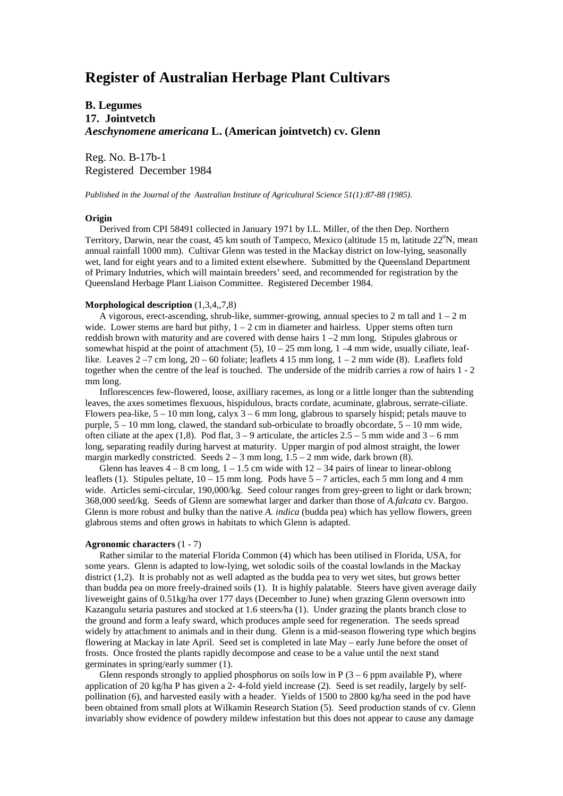# **Register of Australian Herbage Plant Cultivars**

# **B. Legumes 17. Jointvetch** *Aeschynomene americana* **L. (American jointvetch) cv. Glenn**

Reg. No. B-17b-1 Registered December 1984

*Published in the Journal of the Australian Institute of Agricultural Science 51(1):87-88 (1985).*

#### **Origin**

 Derived from CPI 58491 collected in January 1971 by I.L. Miller, of the then Dep. Northern Territory, Darwin, near the coast, 45 km south of Tampeco, Mexico (altitude 15 m, latitude 22°N, mean annual rainfall 1000 mm). Cultivar Glenn was tested in the Mackay district on low-lying, seasonally wet, land for eight years and to a limited extent elsewhere. Submitted by the Queensland Department of Primary Indutries, which will maintain breeders' seed, and recommended for registration by the Queensland Herbage Plant Liaison Committee. Registered December 1984.

#### **Morphological description** (1,3,4,,7,8)

A vigorous, erect-ascending, shrub-like, summer-growing, annual species to 2 m tall and  $1 - 2$  m wide. Lower stems are hard but pithy,  $1 - 2$  cm in diameter and hairless. Upper stems often turn reddish brown with maturity and are covered with dense hairs 1 –2 mm long. Stipules glabrous or somewhat hispid at the point of attachment (5),  $10 - 25$  mm long,  $1 - 4$  mm wide, usually ciliate, leaflike. Leaves  $2 - 7$  cm long,  $20 - 60$  foliate; leaflets 4 15 mm long,  $1 - 2$  mm wide (8). Leaflets fold together when the centre of the leaf is touched. The underside of the midrib carries a row of hairs 1 - 2 mm long.

 Inflorescences few-flowered, loose, axilliary racemes, as long or a little longer than the subtending leaves, the axes sometimes flexuous, hispidulous, bracts cordate, acuminate, glabrous, serrate-ciliate. Flowers pea-like,  $5 - 10$  mm long, calyx  $3 - 6$  mm long, glabrous to sparsely hispid; petals mauve to purple,  $5 - 10$  mm long, clawed, the standard sub-orbiculate to broadly obcordate,  $5 - 10$  mm wide, often ciliate at the apex (1,8). Pod flat,  $3 - 9$  articulate, the articles  $2.5 - 5$  mm wide and  $3 - 6$  mm long, separating readily during harvest at maturity. Upper margin of pod almost straight, the lower margin markedly constricted. Seeds  $2 - 3$  mm long,  $1.5 - 2$  mm wide, dark brown (8).

Glenn has leaves  $4 - 8$  cm long,  $1 - 1.5$  cm wide with  $12 - 34$  pairs of linear to linear-oblong leaflets (1). Stipules peltate,  $10 - 15$  mm long. Pods have  $5 - 7$  articles, each 5 mm long and 4 mm wide. Articles semi-circular, 190,000/kg. Seed colour ranges from grey-green to light or dark brown; 368,000 seed/kg. Seeds of Glenn are somewhat larger and darker than those of *A.falcata* cv. Bargoo. Glenn is more robust and bulky than the native *A. indica* (budda pea) which has yellow flowers, green glabrous stems and often grows in habitats to which Glenn is adapted.

### **Agronomic characters** (1 - 7)

 Rather similar to the material Florida Common (4) which has been utilised in Florida, USA, for some years. Glenn is adapted to low-lying, wet solodic soils of the coastal lowlands in the Mackay district (1,2). It is probably not as well adapted as the budda pea to very wet sites, but grows better than budda pea on more freely-drained soils (1). It is highly palatable. Steers have given average daily liveweight gains of 0.51kg/ha over 177 days (December to June) when grazing Glenn oversown into Kazangulu setaria pastures and stocked at 1.6 steers/ha (1). Under grazing the plants branch close to the ground and form a leafy sward, which produces ample seed for regeneration. The seeds spread widely by attachment to animals and in their dung. Glenn is a mid-season flowering type which begins flowering at Mackay in late April. Seed set is completed in late May – early June before the onset of frosts. Once frosted the plants rapidly decompose and cease to be a value until the next stand germinates in spring/early summer (1).

Glenn responds strongly to applied phosphorus on soils low in  $P(3 - 6$  ppm available P), where application of 20 kg/ha P has given a 2- 4-fold yield increase (2). Seed is set readily, largely by selfpollination (6), and harvested easily with a header. Yields of 1500 to 2800 kg/ha seed in the pod have been obtained from small plots at Wilkamin Research Station (5). Seed production stands of cv. Glenn invariably show evidence of powdery mildew infestation but this does not appear to cause any damage